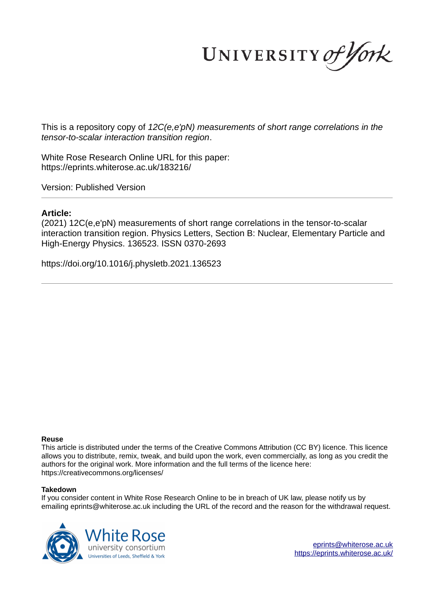UNIVERSITY of York

This is a repository copy of *12C(e,e'pN) measurements of short range correlations in the tensor-to-scalar interaction transition region*.

White Rose Research Online URL for this paper: https://eprints.whiterose.ac.uk/183216/

Version: Published Version

# **Article:**

(2021) 12C(e,e'pN) measurements of short range correlations in the tensor-to-scalar interaction transition region. Physics Letters, Section B: Nuclear, Elementary Particle and High-Energy Physics. 136523. ISSN 0370-2693

https://doi.org/10.1016/j.physletb.2021.136523

## **Reuse**

This article is distributed under the terms of the Creative Commons Attribution (CC BY) licence. This licence allows you to distribute, remix, tweak, and build upon the work, even commercially, as long as you credit the authors for the original work. More information and the full terms of the licence here: https://creativecommons.org/licenses/

## **Takedown**

If you consider content in White Rose Research Online to be in breach of UK law, please notify us by emailing eprints@whiterose.ac.uk including the URL of the record and the reason for the withdrawal request.

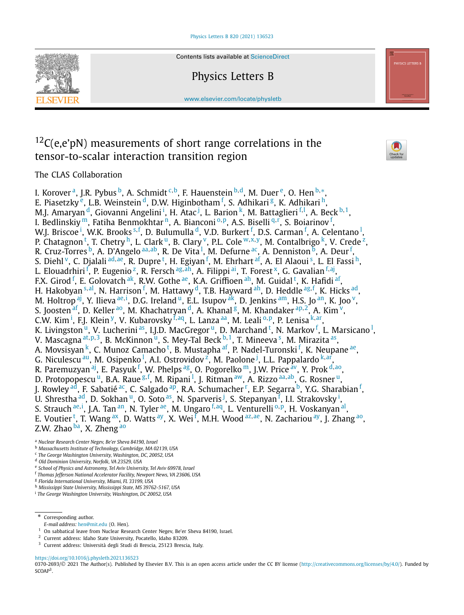

Contents lists available at ScienceDirect

# Physics Letters B

www.elsevier.com/locate/physletb

# $12C(e,e'p)$  measurements of short range correlations in the tensor-to-scalar interaction transition region



The CLAS Collaboration

I. Korover <sup>a</sup>, J.R. Pybus <sup>b</sup>, A. Schmidt <sup>c, b</sup>, F. Hauenstein <sup>b, d</sup>, M. Duer <sup>e</sup>, O. Hen <sup>b, \*</sup>, E. Piasetzky <sup>e</sup>, L.B. Weinstein <sup>d</sup>, D.W. Higinbotham <sup>f</sup>, S. Adhikari <sup>g</sup>, K. Adhikari <sup>h</sup>, M.J. Amaryan <sup>d</sup>, Giovanni Angelini <sup>i</sup>, H. Atac <sup>j</sup>, L. Barion <sup>k</sup>, M. Battaglieri <sup>f, l</sup>, A. Beck <sup>b, 1</sup>, I. Bedlinskiy <sup>m</sup>, Fatiha Benmokhtar <sup>n</sup>, A. Bianconi <sup>0, p</sup>, A.S. Biselli <sup>q, r</sup>, S. Boiarinov <sup>f</sup>, W.J. Briscoe <sup>i</sup>, W.K. Brooks <sup>s, f</sup>, D. Bulumulla <sup>d</sup>, V.D. Burkert <sup>f</sup>, D.S. Carman <sup>f</sup>, A. Celentano <sup>l</sup>, P. Chatagnon <sup>t</sup>, T. Chetry <sup>h</sup>, L. Clark <sup>u</sup>, B. Clary <sup>v</sup>, P.L. Cole <sup>w,x,y</sup>, M. Contalbrigo <sup>k</sup>, V. Crede <sup>z</sup>, R. Cruz-Torres <sup>b</sup>, A. D'Angelo <sup>aa, ab</sup>, R. De Vita <sup>l</sup>, M. Defurne <sup>ac</sup>, A. Denniston <sup>b</sup>, A. Deur <sup>f</sup>, S. Diehl <sup>v</sup>, C. Djalali <sup>ad, ae</sup>, R. Dupre <sup>t</sup>, H. Egiyan <sup>f</sup>, M. Ehrhart <sup>af</sup>, A. El Alaoui <sup>s</sup>, L. El Fassi <sup>h</sup>, L. Elouadrhiri <sup>f</sup>, P. Eugenio <sup>z</sup>, R. Fersch <sup>ag,āh</sup>, A. Filippi <sup>ai</sup>, T. Forest <sup>x</sup>, G. Gavalian <sup>f,aj</sup>, F.X. Girod <sup>f</sup>, E. Golovatch <sup>ak</sup>, R.W. Gothe <sup>ae</sup>, K.A. Griffioen <sup>ah</sup>, M. Guidal <sup>t</sup>, K. Hafidi <sup>af</sup>, H. Hakobyan <sup>s,al</sup>, N. Harrison <sup>f</sup>, M. Hattawy <sup>d</sup>, T.B. Hayward <sup>ah</sup>, D. Heddle <sup>ag, f</sup>, K. Hicks <sup>ad</sup>, M. Holtrop <sup>aj</sup>, Y. Ilieva <sup>ae,i</sup>, D.G. Ireland <sup>u</sup>, E.L. Isupov <sup>ak</sup>, D. Jenkins <sup>am</sup>, H.S. Jo <sup>an</sup>, K. Joo <sup>v</sup>, S. Joosten <sup>af</sup>, D. Keller <sup>ao</sup>, M. Khachatryan <sup>d</sup>, A. Khanal <sup>g</sup>, M. Khandaker <sup>ap,2</sup>, A. Kim <sup>v</sup>, C.W. Kim <sup>i</sup>, F.J. Klein <sup>y</sup>, V. Kubarovsky <sup>f, aq</sup>, L. Lanza <sup>aa</sup>, M. Leali <sup>0, p</sup>, P. Lenisa <sup>k, ar</sup>, K. Livingston <sup>u</sup>, V. Lucherini <sup>as</sup>, I.J.D. MacGregor <sup>u</sup>, D. Marchand <sup>t</sup>, N. Markov <sup>f</sup>, L. Marsicano <sup>l</sup>, V. Mascagna <sup>at, p, 3</sup>, B. McKinnon <sup>u</sup>, S. Mey-Tal Beck <sup>b, 1</sup>, T. Mineeva <sup>s</sup>, M. Mirazita <sup>as</sup>, A. Movsisyan <sup>k</sup>, C. Munoz Camacho <sup>t</sup>, B. Mustapha <sup>af</sup>, P. Nadel-Turonski <sup>f</sup>, K. Neupane <sup>ae</sup>, G. Niculescu <sup>au</sup>, M. Osipenko <sup>l</sup>, A.I. Ostrovidov <sup>z</sup>, M. Paolone <sup>j</sup>, L.L. Pappalardo <sup>k, ar</sup>, R. Paremuzyan <sup>aj</sup>, E. Pasyuk <sup>f</sup>, W. Phelps <sup>ag</sup>, O. Pogorelko <sup>m</sup>, J.W. Price <sup>av</sup>, Y. Prok <sup>d, ao</sup>, D. Protopopescu <sup>u</sup>, B.A. Raue <sup>g, f</sup>, M. Ripani <sup>1</sup>, J. Ritman <sup>aw</sup>, A. Rizzo <sup>aa, ab</sup>, G. Rosner <sup>u</sup>, J. Rowley <sup>ad</sup>, F. Sabatié <sup>ac</sup>, C. Salgado <sup>ap</sup>, R.A. Schumacher <sup>r</sup>, E.P. Segarra <sup>b</sup>, Y.G. Sharabian <sup>f</sup>, U. Shrestha <sup>ad</sup>, D. Sokhan <sup>u</sup>, O. Soto <sup>as</sup>, N. Sparveris <sup>j</sup>, S. Stepanyan <sup>f</sup>, I.I. Strakovsky <sup>i</sup>, S. Strauch <sup>ae, i</sup>, J.A. Tan <sup>an</sup>, N. Tyler <sup>ae</sup>, M. Ungaro <sup>f, aq</sup>, L. Venturelli <sup>0, p</sup>, H. Voskanyan <sup>al</sup>, E. Voutier <sup>t</sup>, T. Wang <sup>ax</sup>, D. Watts <sup>ay</sup>, X. Wei <sup>f</sup>, M.H. Wood <sup>az, ae</sup>, N. Zachariou <sup>ay</sup>, J. Zhang <sup>ao</sup>, Z.W. Zhao <sup>ba</sup>, X. Zheng <sup>ao</sup>

<sup>a</sup> *Nuclear Research Center Negev, Be'er Sheva 84190, Israel*

<sup>b</sup> *Massachusetts Institute of Technology, Cambridge, MA 02139, USA*

- c *The George Washington University, Washington, DC, 20052, USA*
- <sup>d</sup> *Old Dominion University, Norfolk, VA 23529, USA*
- e *School of Physics and Astronomy, Tel Aviv University, Tel Aviv 69978, Israel*
- f *Thomas Jefferson National Accelerator Facility, Newport News, VA 23606, USA*

g *Florida International University, Miami, FL 33199, USA*

- <sup>h</sup> *Mississippi State University, Mississippi State, MS 39762-5167, USA*
- i *The George Washington University, Washington, DC 20052, USA*

\* Corresponding author.

https://doi.org/10.1016/j.physletb.2021.136523

0370-2693/© 2021 The Author(s). Published by Elsevier B.V. This is an open access article under the CC BY license (http://creativecommons.org/licenses/by/4.0/). Funded by SCOAP<sup>3</sup>.

*E-mail address:* hen@mit.edu (O. Hen).

 $1$  On sabbatical leave from Nuclear Research Center Negev, Be'er Sheva 84190, Israel.

<sup>2</sup> Current address: Idaho State University, Pocatello, Idaho 83209.

<sup>3</sup> Current address: Università degli Studi di Brescia, 25123 Brescia, Italy.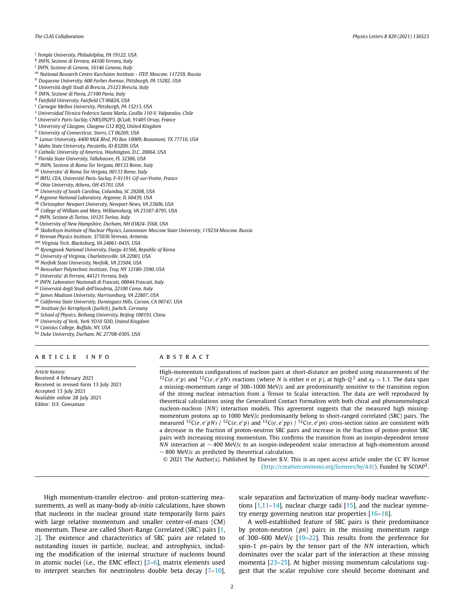j *Temple University, Philadelphia, PA 19122, USA*

- k *INFN, Sezione di Ferrara, 44100 Ferrara, Italy*
- l *INFN, Sezione di Genova, 16146 Genova, Italy*
- <sup>m</sup> *National Research Centre Kurchatov Institute ITEP, Moscow, 117259, Russia*
- <sup>n</sup> *Duquesne University, 600 Forbes Avenue, Pittsburgh, PA 15282, USA*
- <sup>o</sup> *Università degli Studi di Brescia, 25123 Brescia, Italy*
- p *INFN, Sezione di Pavia, 27100 Pavia, Italy*
- q *Fairfield University, Fairfield CT 06824, USA*
- <sup>r</sup> *Carnegie Mellon University, Pittsburgh, PA 15213, USA*
- <sup>s</sup> *Universidad Técnica Federico Santa María, Casilla 110-V, Valparaíso, Chile*
- <sup>t</sup> *Universit'e Paris-Saclay, CNRS/IN2P3, IJCLab, 91405 Orsay, France*
- <sup>u</sup> *University of Glasgow, Glasgow G12 8QQ, United Kingdom*
- <sup>v</sup> *University of Connecticut, Storrs, CT 06269, USA*
- <sup>w</sup> *Lamar University, 4400 MLK Blvd, PO Box 10009, Beaumont, TX 77710, USA*
- x *Idaho State University, Pocatello, ID 83209, USA*
- <sup>y</sup> *Catholic University of America, Washington, D.C. 20064, USA*
- z *Florida State University, Tallahassee, FL 32306, USA*
- aa *INFN, Sezione di Roma Tor Vergata, 00133 Rome, Italy*
- ab *Universita' di Roma Tor Vergata, 00133 Rome, Italy*
- ac *IRFU, CEA, Université Paris-Saclay, F-91191 Gif-sur-Yvette, France*
- ad *Ohio University, Athens, OH 45701, USA*
- ae *University of South Carolina, Columbia, SC 29208, USA*
- af *Argonne National Laboratory, Argonne, IL 60439, USA*
- ag *Christopher Newport University, Newport News, VA 23606, USA*
- ah *College of William and Mary, Williamsburg, VA 23187-8795, USA*
- ai *INFN, Sezione di Torino, 10125 Torino, Italy*
- aj *University of New Hampshire, Durham, NH 03824-3568, USA*
- ak *Skobeltsyn Institute of Nuclear Physics, Lomonosov Moscow State University, 119234 Moscow, Russia*
- al *Yerevan Physics Institute, 375036 Yerevan, Armenia*
- am *Virginia Tech, Blacksburg, VA 24061-0435, USA*
- an *Kyungpook National University, Daegu 41566, Republic of Korea*
- ao *University of Virginia, Charlottesville, VA 22901, USA*
- ap *Norfolk State University, Norfolk, VA 23504, USA*
- aq *Rensselaer Polytechnic Institute, Troy, NY 12180-3590, USA*
- ar *Universita' di Ferrara, 44121 Ferrara, Italy*
- as *INFN, Laboratori Nazionali di Frascati, 00044 Frascati, Italy*
- at *Università degli Studi dell'Insubria, 22100 Como, Italy*
- au *James Madison University, Harrisonburg, VA 22807, USA*
- av *California State University, Dominguez Hills, Carson, CA 90747, USA*
- aw *Institute fur Kernphysik (Juelich), Juelich, Germany*
- ax *School of Physics, Beihang University, Beijing 100191, China*
- ay *University of York, York YO10 5DD, United Kingdom*
- 
- az *Canisius College, Buffalo, NY, USA*
- ba *Duke University, Durham, NC 27708-0305, USA*

### A R T I C L E I N F O A B S T R A C T

*Article history:* Received 4 February 2021 Received in revised form 13 July 2021 Accepted 13 July 2021 Available online 28 July 2021 Editor: D.F. Geesaman

High-momentum configurations of nucleon pairs at short-distance are probed using measurements of the  ${}^{12}C(e, e'p)$  and  ${}^{12}C(e, e'pN)$  reactions (where *N* is either *n* or *p*), at high- $Q^2$  and  $x_B > 1.1$ . The data span a missing-momentum range of 300–1000 MeV/c and are predominantly sensitive to the transition region of the strong nuclear interaction from a Tensor to Scalar interaction. The data are well reproduced by theoretical calculations using the Generalized Contact Formalism with both chiral and phenomenological nucleon-nucleon (NN) interaction models. This agreement suggests that the measured high missingmomentum protons up to 1000 MeV/c predominantly belong to short-ranged correlated (SRC) pairs. The measured  $^{12}C(e, e'pn)$  /  $^{12}C(e, e'p)$  and  $^{12}C(e, e'pp)$  /  $^{12}C(e, e'pn)$  cross-section ratios are consistent with a decrease in the fraction of proton-neutron SRC pairs and increase in the fraction of proton-proton SRC pairs with increasing missing momentum. This confirms the transition from an isospin-dependent tensor *NN* interaction at ∼ 400 MeV/c to an isospin-independent scalar interaction at high-momentum around  $\sim$  800 MeV/c as predicted by theoretical calculation.

 2021 The Author(s). Published by Elsevier B.V. This is an open access article under the CC BY license (http://creativecommons.org/licenses/by/4.0/). Funded by SCOAP<sup>3</sup>.

High momentum-transfer electron- and proton-scattering measurements, as well as many-body *ab-initio* calculations, have shown that nucleons in the nuclear ground state temporarily form pairs with large relative momentum and smaller center-of-mass (CM) momentum. These are called Short-Range Correlated (SRC) pairs [1, 2]. The existence and characteristics of SRC pairs are related to outstanding issues in particle, nuclear, and astrophysics, including the modification of the internal structure of nucleons bound in atomic nuclei (i.e., the EMC effect) [2–6], matrix elements used to interpret searches for neutrinoless double beta decay [7–10], scale separation and factorization of many-body nuclear wavefunctions [1,11–14], nuclear charge radii [15], and the nuclear symmetry energy governing neutron star properties [16–18].

A well-established feature of SRC pairs is their predominance by proton-neutron (*pn*) pairs in the missing momentum range of 300–600 MeV/c [19–22]. This results from the preference for spin-1 *pn*-pairs by the tensor part of the *NN* interaction, which dominates over the scalar part of the interaction at these missing momenta [23–25]. At higher missing momentum calculations suggest that the scalar repulsive core should become dominant and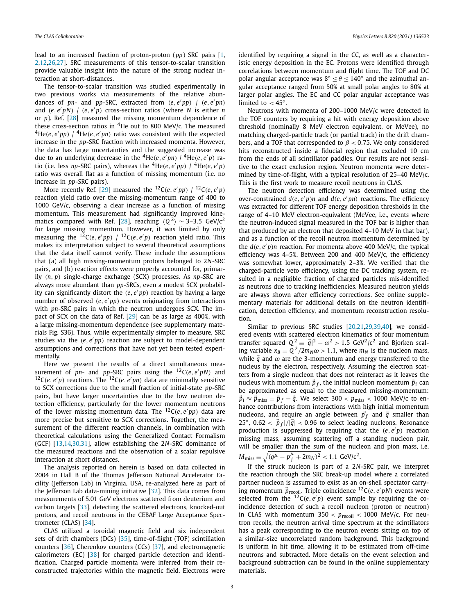lead to an increased fraction of proton-proton (*pp*) SRC pairs [1, 2,12,26,27]. SRC measurements of this tensor-to-scalar transition provide valuable insight into the nature of the strong nuclear interaction at short-distances.

The tensor-to-scalar transition was studied experimentally in two previous works via measurements of the relative abundances of *pn*- and *pp*-SRC, extracted from (*e*, *e* ′*pp*) / (*e*, *e* ′*pn*) and  $(e, e'pN)$  /  $(e, e'p)$  cross-section ratios (where *N* is either *n* or *p*). Ref. [28] measured the missing momentum dependence of these cross-section ratios in  ${}^{4}$ He out to 800 MeV/c. The measured  ${}^{4}$ He(*e*, *e'* pp) /  ${}^{4}$ He(*e*, *e'* pn) ratio was consistent with the expected increase in the *pp*-SRC fraction with increased momenta. However, the data has large uncertainties and the suggested increase was due to an underlying decrease in the <sup>4</sup>He(*e*, *e* ′*pn*) / <sup>4</sup>He(*e*, *e* ′*p*) ratio (i.e. less *np*-SRC pairs), whereas the <sup>4</sup>He(*e*, *e'pp*) / <sup>4</sup>He(*e*, *e'p*) ratio was overall flat as a function of missing momentum (i.e. no increase in *pp*-SRC pairs).

More recently Ref. [29] measured the  ${}^{12}C(e, e'pp)$  /  ${}^{12}C(e, e'p)$ reaction yield ratio over the missing-momentum range of 400 to 1000 GeV/c, observing a clear increase as a function of missing momentum. This measurement had significantly improved kinematics compared with Ref. [28], reaching  $\langle \mathbb Q^2 \rangle \sim$  3–3.5 GeV/c<sup>2</sup> for large missing momentum. However, it was limited by only measuring the  $^{12}C(e,e^{\prime}pp)$  /  $^{12}C(e,e^{\prime}p)$  reaction yield ratio. This makes its interpretation subject to several theoretical assumptions that the data itself cannot verify. These include the assumptions that (a) all high missing-momentum protons belonged to 2*N*-SRC pairs, and (b) reaction effects were properly accounted for, primarily (*n*, *p*) single-charge exchange (SCX) processes. As *np*-SRC are always more abundant than *pp*-SRCs, even a modest SCX probability can significantly distort the (*e*, *e* ′ *pp*) reaction by having a large number of observed (*e*, *e* ′*pp*) events originating from interactions with *pn*-SRC pairs in which the neutron undergoes SCX. The impact of SCX on the data of Ref. [29] can be as large as 400%, with a large missing-momentum dependence (see supplementary materials Fig. S36). Thus, while experimentally simpler to measure, SRC studies via the  $(e, e'pp)$  reaction are subject to model-dependent assumptions and corrections that have not yet been tested experimentally.

Here we present the results of a direct simultaneous measurement of  $pn$ - and  $pp$ -SRC pairs using the  ${}^{12}C(e, e'pN)$  and  ${}^{12}C(e, e'p)$  reactions. The  ${}^{12}C(e, e'pn)$  data are minimally sensitive to SCX corrections due to the small fraction of initial-state *pp*-SRC pairs, but have larger uncertainties due to the low neutron detection efficiency, particularly for the lower momentum neutrons of the lower missing momentum data. The <sup>12</sup>C(*e*, *e* ′*pp*) data are more precise but sensitive to SCX corrections. Together, the measurement of the different reaction channels, in combination with theoretical calculations using the Generalized Contact Formalism (GCF) [13,14,30,31], allow establishing the 2*N*-SRC dominance of the measured reactions and the observation of a scalar repulsive interaction at short distances.

The analysis reported on herein is based on data collected in 2004 in Hall B of the Thomas Jefferson National Accelerator Facility (Jefferson Lab) in Virginia, USA, re-analyzed here as part of the Jefferson Lab data-mining initiative [32]. This data comes from measurements of 5.01 GeV electrons scattered from deuterium and carbon targets [33], detecting the scattered electrons, knocked-out protons, and recoil neutrons in the CEBAF Large Acceptance Spectrometer (CLAS) [34].

CLAS utilized a toroidal magnetic field and six independent sets of drift chambers (DCs) [35], time-of-flight (TOF) scintillation counters [36], Cherenkov counters (CCs) [37], and electromagnetic calorimeters (EC) [38] for charged particle detection and identification. Charged particle momenta were inferred from their reconstructed trajectories within the magnetic field. Electrons were identified by requiring a signal in the CC, as well as a characteristic energy deposition in the EC. Protons were identified through correlations between momentum and flight time. The TOF and DC polar angular acceptance was  $8^{\circ} \le \theta \le 140^{\circ}$  and the azimuthal angular acceptance ranged from 50% at small polar angles to 80% at larger polar angles. The EC and CC polar angular acceptance was limited to  $<$  45°.

Neutrons with momenta of 200–1000 MeV/c were detected in the TOF counters by requiring a hit with energy deposition above threshold (nominally 8 MeV electron equivalent, or MeVee), no matching charged-particle track (or partial track) in the drift chambers, and a TOF that corresponded to  $\beta$  < 0.75. We only considered hits reconstructed inside a fiducial region that excluded 10 cm from the ends of all scintillator paddles. Our results are not sensitive to the exact exclusion region. Neutron momenta were determined by time-of-flight, with a typical resolution of 25–40 MeV/c. This is the first work to measure recoil neutrons in CLAS.

The neutron detection efficiency was determined using the over-constrained  $d(e, e'p)n$  and  $d(e, e'pn)$  reactions. The efficiency was extracted for different TOF energy deposition thresholds in the range of 4–10 MeV electron-equivalent (MeVee, i.e., events where the neutron-induced signal measured in the TOF bar is higher than that produced by an electron that deposited 4–10 MeV in that bar), and as a function of the recoil neutron momentum determined by the *d*(*e*, *e* ′*p*)*n* reaction. For momenta above 400 MeV/c, the typical efficiency was 4–5%. Between 200 and 400 MeV/c, the efficiency was somewhat lower, approximately 2–3%. We verified that the charged-particle veto efficiency, using the DC tracking system, resulted in a negligible fraction of charged particles mis-identified as neutrons due to tracking inefficiencies. Measured neutron yields are always shown after efficiency corrections. See online supplementary materials for additional details on the neutron identification, detection efficiency, and momentum reconstruction resolution.

Similar to previous SRC studies [20,21,29,39,40], we considered events with scattered electron kinematics of four momentum transfer squared  $Q^2 \equiv |\vec{q}|^2 - \omega^2 > 1.5$  GeV<sup>2</sup>/c<sup>2</sup> and Bjorken scaling variable  $x_B \equiv Q^2/2m_N\omega > 1.1$ , where  $m_N$  is the nucleon mass, while  $\vec{q}$  and  $\omega$  are the 3-momentum and energy transferred to the nucleus by the electron, respectively. Assuming the electron scatters from a single nucleon that does not reinteract as it leaves the nucleus with momentum  $\vec{p}_f$ , the initial nucleon momentum  $\vec{p}_i$  can be approximated as equal to the measured missing-momentum:  $\vec{p}_i \approx \vec{p}_{\rm miss} \equiv \vec{p}_f - \vec{q}.$  We select 300  $< p_{\rm miss} <$  1000 MeV/c to enhance contributions from interactions with high initial momentum nucleons, and require an angle between  $\vec{p_f}$  and  $\vec{q}$  smaller than 25°,  $0.62 < |\vec{p}_f|/|\vec{q}| < 0.96$  to select leading nucleons. Resonance production is suppressed by requiring that the (*e*, *e* ′*p*) reaction missing mass, assuming scattering off a standing nucleon pair, will be smaller than the sum of the nucleon and pion mass, i.e.  $M_{\text{miss}} \equiv \sqrt{(q^{\mu} - p_f^{\mu} + 2m_N)^2} < 1.1 \text{ GeV/c}^2$ .

If the struck nucleon is part of a 2*N*-SRC pair, we interpret the reaction through the SRC break-up model where a correlated partner nucleon is assumed to exist as an on-shell spectator carrying momentum  $\vec{p}_{\text{recoil}}$ . Triple coincidence <sup>12</sup>C(*e*, *e' pN*) events were selected from the  ${}^{12}C(e, e'p)$  event sample by requiring the coincidence detection of such a recoil nucleon (proton or neutron) in CLAS with momentum  $350 < p_{\text{recoil}} < 1000$  MeV/c. For neutron recoils, the neutron arrival time spectrum at the scintillators has a peak corresponding to the neutron events sitting on top of a similar-size uncorrelated random background. This background is uniform in hit time, allowing it to be estimated from off-time neutrons and subtracted. More details on the event selection and background subtraction can be found in the online supplementary materials.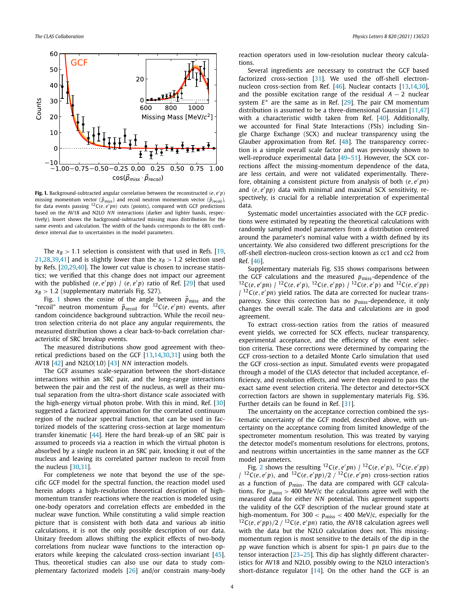

**Fig. 1.** Background-subtracted angular correlation between the reconstructed (*e*, *e* ′*p*) missing momentum vector  $(\vec{p}_{\text{miss}})$  and recoil neutron momentum vector  $(\vec{p}_{\text{recoil}})$ , for data events passing <sup>12</sup>C(*e*, *e'* pn) cuts (points), compared with GCF predictions based on the AV18 and N2LO NN interactions (darker and lighter bands, respectively). Insert shows the background-subtracted missing mass distribution for the same events and calculation. The width of the bands corresponds to the 68% confidence interval due to uncertainties in the model parameters.

The  $x_B > 1.1$  selection is consistent with that used in Refs. [19, 21,28,39,41] and is slightly lower than the  $x_B > 1.2$  selection used by Refs. [20,29,40]. The lower cut value is chosen to increase statistics; we verified that this change does not impact our agreement with the published  $(e, e'pp)$  /  $(e, e'p)$  ratio of Ref. [29] that used  $x_B$  > 1.2 (supplementary materials Fig. S27).

Fig. 1 shows the cosine of the angle between  $\vec{p}_{\text{miss}}$  and the "recoil" neutron momentum  $\vec{p}_{\text{recoil}}$  for <sup>12</sup>C(*e*, *e'pn*) events, after random coincidence background subtraction. While the recoil neutron selection criteria do not place any angular requirements, the measured distribution shows a clear back-to-back correlation characteristic of SRC breakup events.

The measured distributions show good agreement with theoretical predictions based on the GCF [13,14,30,31] using both the AV18 [42] and N2LO(1.0) [43] *NN* interaction models.

The GCF assumes scale-separation between the short-distance interactions within an SRC pair, and the long-range interactions between the pair and the rest of the nucleus, as well as their mutual separation from the ultra-short distance scale associated with the high-energy virtual photon probe. With this in mind, Ref. [30] suggested a factorized approximation for the correlated continuum region of the nuclear spectral function, that can be used in factorized models of the scattering cross-section at large momentum transfer kinematic  $[44]$ . Here the hard break-up of an SRC pair is assumed to proceeds via a reaction in which the virtual photon is absorbed by a single nucleon in an SRC pair, knocking it out of the nucleus and leaving its correlated partner nucleon to recoil from the nucleus [30,31].

For completeness we note that beyond the use of the specific GCF model for the spectral function, the reaction model used herein adopts a high-resolution theoretical description of highmomentum transfer reactions where the reaction is modeled using one-body operators and correlation effects are embedded in the nuclear wave function. While constituting a valid simple reaction picture that is consistent with both data and various ab initio calculations, it is not the only possible description of our data. Unitary freedom allows shifting the explicit effects of two-body correlations from nuclear wave functions to the interaction operators while keeping the calculated cross-section invariant [45]. Thus, theoretical studies can also use our data to study complementary factorized models [26] and/or constrain many-body

reaction operators used in low-resolution nuclear theory calculations.

Several ingredients are necessary to construct the GCF based factorized cross-section [31]. We used the off-shell electronnucleon cross-section from Ref. [46]. Nuclear contacts [13,14,30], and the possible excitation range of the residual  $A - 2$  nuclear system  $E^*$  are the same as in Ref. [29]. The pair CM momentum distribution is assumed to be a three-dimensional Gaussian [11,47] with a characteristic width taken from Ref. [40]. Additionally, we accounted for Final State Interactions (FSIs) including Single Charge Exchange (SCX) and nuclear transparency using the Glauber approximation from Ref. [48]. The transparency correction is a simple overall scale factor and was previously shown to well-reproduce experimental data [49–51]. However, the SCX corrections affect the missing-momentum dependence of the data, are less certain, and were not validated experimentally. Therefore, obtaining a consistent picture from analysis of both (*e*, *e* ′ *pn*) and (*e*, *e* ′*pp*) data with minimal and maximal SCX sensitivity, respectively, is crucial for a reliable interpretation of experimental data.

Systematic model uncertainties associated with the GCF predictions were estimated by repeating the theoretical calculations with randomly sampled model parameters from a distribution centered around the parameter's nominal value with a width defined by its uncertainty. We also considered two different prescriptions for the off-shell electron-nucleon cross-section known as cc1 and cc2 from Ref. [46].

Supplementary materials Fig. S35 shows comparisons between the GCF calculations and the measured *p*miss-dependence of the  $^{12}C(e, e'pn)$  /  $^{12}C(e, e'p)$ ,  $^{12}C(e, e'pp)$  /  $^{12}C(e, e'p)$  and  $^{12}C(e, e'pp)$  $/$  <sup>12</sup>C(*e*, *e'* pn) yield ratios. The data are corrected for nuclear transparency. Since this correction has no  $p_{\text{miss}}$ -dependence, it only changes the overall scale. The data and calculations are in good agreement.

To extract cross-section ratios from the ratios of measured event yields, we corrected for SCX effects, nuclear transparency, experimental acceptance, and the efficiency of the event selection criteria. These corrections were determined by comparing the GCF cross-section to a detailed Monte Carlo simulation that used the GCF cross-section as input. Simulated events were propagated through a model of the CLAS detector that included acceptance, efficiency, and resolution effects, and were then required to pass the exact same event selection criteria. The detector and detector+SCX correction factors are shown in supplementary materials Fig. S36. Further details can be found in Ref. [31].

The uncertainty on the acceptance correction combined the systematic uncertainty of the GCF model, described above, with uncertainty on the acceptance coming from limited knowledge of the spectrometer momentum resolution. This was treated by varying the detector model's momentum resolutions for electrons, protons, and neutrons within uncertainties in the same manner as the GCF model parameters.

Fig. 2 shows the resulting  ${}^{12}C(e, e'pn)$  /  ${}^{12}C(e, e'p)$ ,  ${}^{12}C(e, e'pp)$  $/$ <sup>12</sup>C(*e*, *e'p*), and <sup>12</sup>C(*e*, *e'pp*)/2  $/$ <sup>12</sup>C(*e*, *e'pn*) cross-section ratios as a function of  $p_{\text{miss}}$ . The data are compared with GCF calculations. For  $p_{\text{miss}} > 400$  MeV/c the calculations agree well with the measured data for either *NN* potential. This agreement supports the validity of the GCF description of the nuclear ground state at high-momentum. For  $300 < p_{\text{miss}} < 400$  MeV/c, especially for the  $^{12}C(e, e'pp)/2$  /  $^{12}C(e, e'pn)$  ratio, the AV18 calculation agrees well with the data but the N2LO calculation does not. This missingmomentum region is most sensitive to the details of the dip in the *pp* wave function which is absent for spin-1 *pn* pairs due to the tensor interaction [23–25]. This dip has slightly different characteristics for AV18 and N2LO, possibly owing to the N2LO interaction's short-distance regulator [14]. On the other hand the GCF is an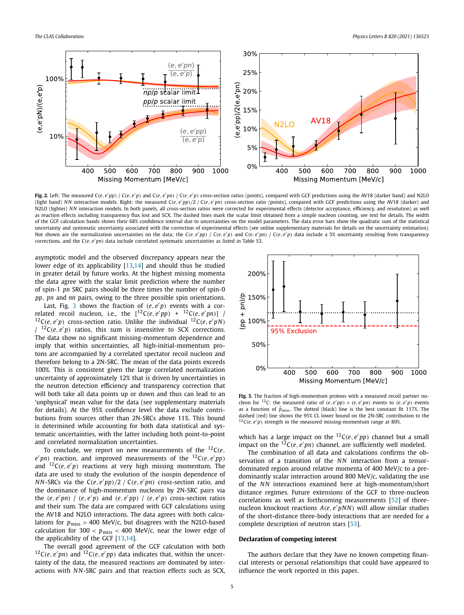

Fig. 2. Left: The measured  $C(e, e'pp) / C(e, e'p)$  and  $C(e, e'pn) / C(e, e'p)$  cross-section ratios (points), compared with GCF predictions using the AV18 (darker band) and N2LO (light band) NN interaction models. Right: the measured C(e, e'pp)/2 / C(e, e'pn) cross-section ratio (points), compared with GCF predictions using the AV18 (darker) and N2LO (lighter) NN interaction models. In both panels, all cross-section ratios were corrected for experimental effects (detector acceptance, efficiency, and resolution) as well as reaction effects including transparency flux lost and SCX. The dashed lines mark the scalar limit obtained from a simple nucleon counting, see text for details. The width of the GCF calculation bands shows their 68% confidence interval due to uncertainties on the model parameters. The data error bars show the quadratic sum of the statistical uncertainty and systematic uncertainty associated with the correction of experimental effects (see online supplementary materials for details on the uncertainty estimation). Not shown are the normalization uncertainties on the data; the C(e, e'pp) | C(e, e'p) and C(e, e'p) | C(e, e'p) data include a 5% uncertainty resulting from transparency corrections, and the C(e, e'pn) data include correlated systematic uncertainties as listed in Table S3.

asymptotic model and the observed discrepancy appears near the lower edge of its applicability [13,14] and should thus be studied in greater detail by future works. At the highest missing momenta the data agree with the scalar limit prediction where the number of spin-1 *pn* SRC pairs should be three times the number of spin-0 *pp*, *pn* and *nn* pairs, owing to the three possible spin orientations.

Last, Fig. 3 shows the fraction of  $(e, e'p)$  events with a correlated recoil nucleon, i.e., the  $[^{12}C(e,e^{\prime}pp) + {}^{12}C(e,e^{\prime}pn)]$  /  ${}^{12}C(e, e'p)$  cross-section ratio. Unlike the individual  ${}^{12}C(e, e'pN)$  $/$ <sup>12</sup>C(*e*, *e' p*) ratios, this sum is insensitive to SCX corrections. The data show no significant missing-momentum dependence and imply that within uncertainties, all high-initial-momentum protons are accompanied by a correlated spectator recoil nucleon and therefore belong to a 2N-SRC. The mean of the data points exceeds 100%. This is consistent given the large correlated normalization uncertainty of approximately 12% that is driven by uncertainties in the neutron detection efficiency and transparency correction that will both take all data points up or down and thus can lead to an 'unphysical' mean value for the data (see supplementary materials for details). At the 95% confidence level the data exclude contributions from sources other than 2N-SRCs above 11%. This bound is determined while accounting for both data statistical and systematic uncertainties, with the latter including both point-to-point and correlated normalization uncertainties.

To conclude, we report on new measurements of the  ${}^{12}C(e,$  $e'$ *pn*) reaction, and improved measurements of the  $^{12}C(e, e'pp)$ and <sup>12</sup>C(*e*, *e* ′*p*) reactions at very high missing momentum. The data are used to study the evolution of the isospin dependence of *N N*-SRCs via the C(*e*, *e* ′*pp*)/2 / C(*e*, *e* ′*pn*) cross-section ratio, and the dominance of high-momentum nucleons by 2N-SRC pairs via the  $(e, e'pn)$  /  $(e, e'p)$  and  $(e, e'pp)$  /  $(e, e'p)$  cross-section ratios and their sum. The data are compared with GCF calculations using the AV18 and N2LO interactions. The data agrees with both calculations for  $p_{\text{miss}} > 400 \text{ MeV/c}$ , but disagrees with the N2LO-based calculation for  $300 < p_{\text{miss}} < 400$  MeV/c, near the lower edge of the applicability of the GCF [13,14].

The overall good agreement of the GCF calculation with both  ${}^{12}C(e, e'pn)$  and  ${}^{12}C(e, e'pp)$  data indicates that, within the uncertainty of the data, the measured reactions are dominated by interactions with *NN*-SRC pairs and that reaction effects such as SCX,



**Fig. 3.** The fraction of high-momentum protons with a measured recoil partner nucleon for <sup>12</sup>C: the measured ratio of  $(e, e'pp) + (e, e'pn)$  events to  $(e, e'p)$  events as a function of  $\vec{p}_{\text{miss}}$ . The dotted (black) line is the best constant fit 117%. The dashed (red) line shows the 95% CL lower bound on the 2N-SRC contribution to the  ${}^{12}C(e, e'p)$  strength in the measured missing-momentum range at 89%.

which has a large impact on the  ${}^{12}C(e, e'pp)$  channel but a small impact on the <sup>12</sup>C(*e*, *e'* pn) channel, are sufficiently well modeled.

The combination of all data and calculations confirms the observation of a transition of the *NN* interaction from a tensordominated region around relative momenta of 400 MeV/c to a predominantly scalar interaction around 800 MeV/c, validating the use of the *NN* interactions examined here at high-momentum/short distance regimes. Future extensions of the GCF to three-nucleon correlations as well as forthcoming measurements [52] of threenucleon knockout reactions *A*(*e*, *e* ′*pNN*) will allow similar studies of the short-distance three-body interactions that are needed for a complete description of neutron stars [53].

### **Declaration of competing interest**

The authors declare that they have no known competing financial interests or personal relationships that could have appeared to influence the work reported in this paper.